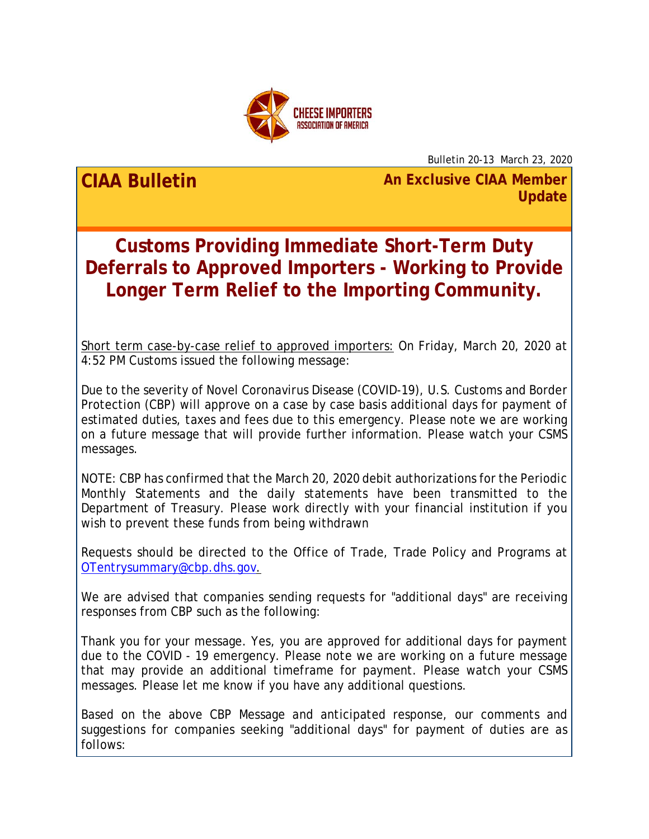

Bulletin 20-13 March 23, 2020

**CIAA Bulletin An Exclusive CIAA Member Update**

**Customs Providing Immediate Short-Term Duty Deferrals to Approved Importers - Working to Provide Longer Term Relief to the Importing Community.**

Short term case-by-case relief to approved importers: On Friday, March 20, 2020 at 4:52 PM Customs issued the following message:

Due to the severity of Novel Coronavirus Disease (COVID-19), U.S. Customs and Border Protection (CBP) will approve on a case by case basis additional days for payment of estimated duties, taxes and fees due to this emergency. Please note we are working on a future message that will provide further information. Please watch your CSMS messages.

NOTE: CBP has confirmed that the March 20, 2020 debit authorizations for the Periodic Monthly Statements and the daily statements have been transmitted to the Department of Treasury. Please work directly with your financial institution if you wish to prevent these funds from being withdrawn

Requests should be directed to the Office of Trade, Trade Policy and Programs at [OTentrysummary@cbp.dhs.gov.](mailto:OTentrysummary@cbp.dhs.gov)

We are advised that companies sending requests for "additional days" are receiving responses from CBP such as the following:

Thank you for your message. Yes, you are approved for additional days for payment due to the COVID - 19 emergency. Please note we are working on a future message that may provide an additional timeframe for payment. Please watch your CSMS messages. Please let me know if you have any additional questions.

Based on the above CBP Message and anticipated response, our comments and suggestions for companies seeking "additional days" for payment of duties are as follows: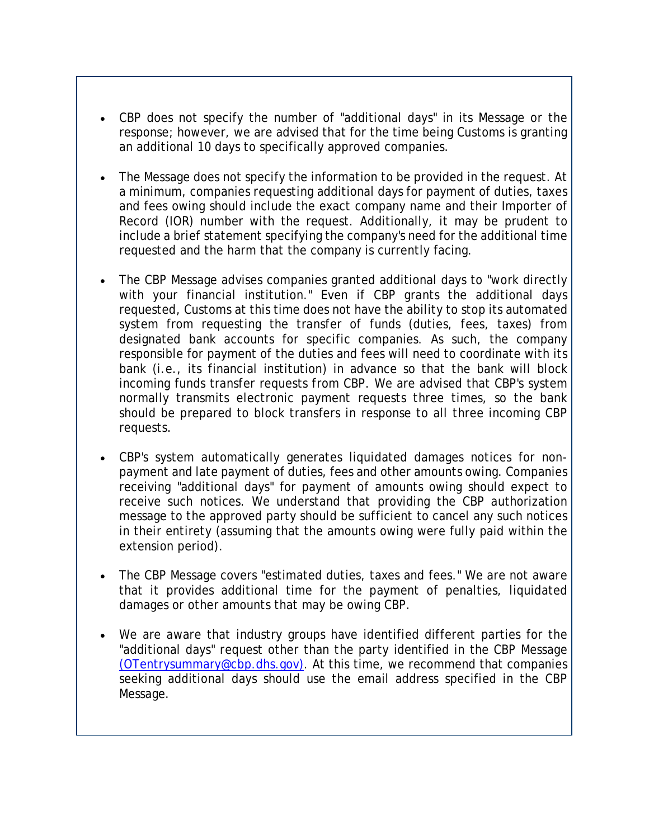- CBP does not specify the number of "additional days" in its Message or the response; however, we are advised that for the time being Customs is granting an additional 10 days to specifically approved companies.
- The Message does not specify the information to be provided in the request. At a minimum, companies requesting additional days for payment of duties, taxes and fees owing should include the exact company name and their Importer of Record (IOR) number with the request. Additionally, it may be prudent to include a brief statement specifying the company's need for the additional time requested and the harm that the company is currently facing.
- The CBP Message advises companies granted additional days to "work directly with your financial institution." Even if CBP grants the additional days requested, Customs at this time does not have the ability to stop its automated system from requesting the transfer of funds (duties, fees, taxes) from designated bank accounts for specific companies. As such, the company responsible for payment of the duties and fees will need to coordinate with its bank (i.e., its financial institution) in advance so that the bank will block incoming funds transfer requests from CBP. We are advised that CBP's system normally transmits electronic payment requests three times, so the bank should be prepared to block transfers in response to all three incoming CBP requests.
- CBP's system automatically generates liquidated damages notices for nonpayment and late payment of duties, fees and other amounts owing. Companies receiving "additional days" for payment of amounts owing should expect to receive such notices. We understand that providing the CBP authorization message to the approved party should be sufficient to cancel any such notices in their entirety (assuming that the amounts owing were fully paid within the extension period).
- The CBP Message covers "estimated duties, taxes and fees." We are not aware that it provides additional time for the payment of penalties, liquidated damages or other amounts that may be owing CBP.
- We are aware that industry groups have identified different parties for the "additional days" request other than the party identified in the CBP Message [\(OTentrysummary@cbp.dhs.gov\).](mailto:OTentrysummary@cbp.dhs.gov) At this time, we recommend that companies seeking additional days should use the email address specified in the CBP Message.